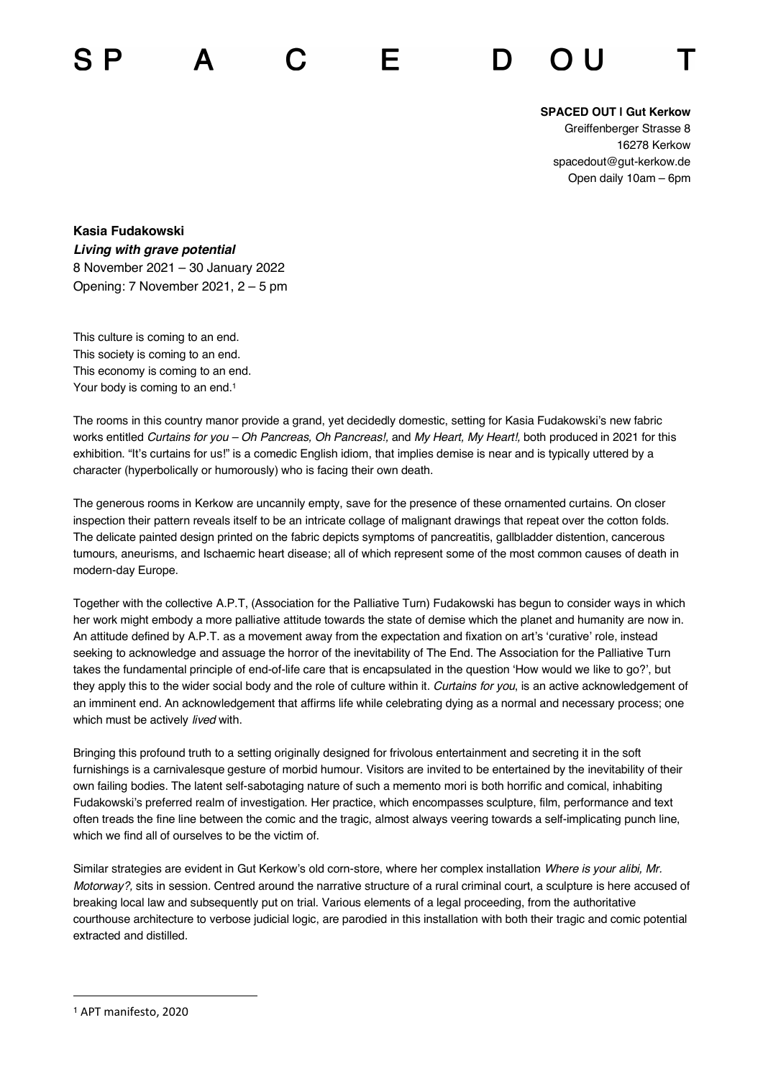## **SPACED OUT | Gut Kerkow**

Greiffenberger Strasse 8 16278 Kerkow spacedout@gut-kerkow.de Open daily 10am – 6pm

**Kasia Fudakowski** *Living with grave potential* 8 November 2021 – 30 January 2022 Opening: 7 November 2021, 2 – 5 pm

This culture is coming to an end. This society is coming to an end. This economy is coming to an end. Your body is coming to an end.<sup>1</sup>

The rooms in this country manor provide a grand, yet decidedly domestic, setting for Kasia Fudakowski's new fabric works entitled *Curtains for you – Oh Pancreas, Oh Pancreas!,* and *My Heart, My Heart!,* both produced in 2021 for this exhibition. "It's curtains for us!" is a comedic English idiom, that implies demise is near and is typically uttered by a character (hyperbolically or humorously) who is facing their own death.

The generous rooms in Kerkow are uncannily empty, save for the presence of these ornamented curtains. On closer inspection their pattern reveals itself to be an intricate collage of malignant drawings that repeat over the cotton folds. The delicate painted design printed on the fabric depicts symptoms of pancreatitis, gallbladder distention, cancerous tumours, aneurisms, and Ischaemic heart disease; all of which represent some of the most common causes of death in modern-day Europe.

Together with the collective A.P.T, (Association for the Palliative Turn) Fudakowski has begun to consider ways in which her work might embody a more palliative attitude towards the state of demise which the planet and humanity are now in. An attitude defined by A.P.T. as a movement away from the expectation and fixation on art's 'curative' role, instead seeking to acknowledge and assuage the horror of the inevitability of The End. The Association for the Palliative Turn takes the fundamental principle of end-of-life care that is encapsulated in the question 'How would we like to go?', but they apply this to the wider social body and the role of culture within it. *Curtains for you*, is an active acknowledgement of an imminent end. An acknowledgement that affirms life while celebrating dying as a normal and necessary process; one which must be actively *lived* with.

Bringing this profound truth to a setting originally designed for frivolous entertainment and secreting it in the soft furnishings is a carnivalesque gesture of morbid humour. Visitors are invited to be entertained by the inevitability of their own failing bodies. The latent self-sabotaging nature of such a memento mori is both horrific and comical, inhabiting Fudakowski's preferred realm of investigation. Her practice, which encompasses sculpture, film, performance and text often treads the fine line between the comic and the tragic, almost always veering towards a self-implicating punch line, which we find all of ourselves to be the victim of.

Similar strategies are evident in Gut Kerkow's old corn-store, where her complex installation *Where is your alibi, Mr. Motorway?,* sits in session. Centred around the narrative structure of a rural criminal court, a sculpture is here accused of breaking local law and subsequently put on trial. Various elements of a legal proceeding, from the authoritative courthouse architecture to verbose judicial logic, are parodied in this installation with both their tragic and comic potential extracted and distilled.

<sup>1</sup> APT manifesto, 2020